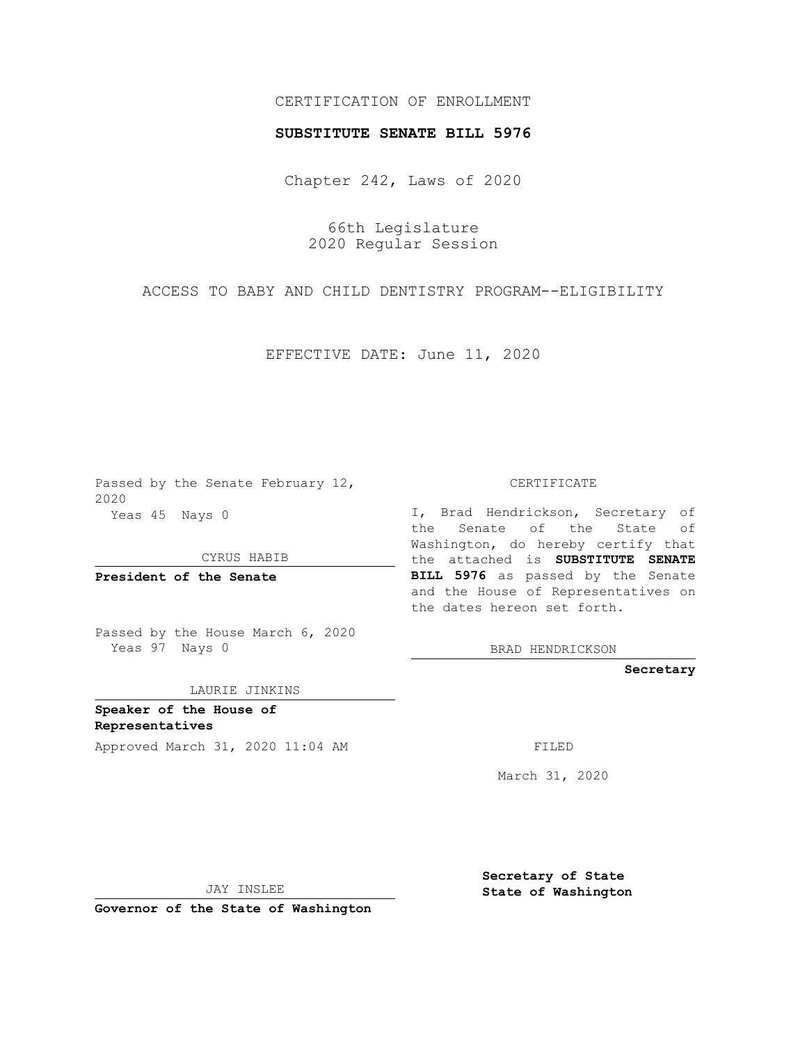## CERTIFICATION OF ENROLLMENT

## **SUBSTITUTE SENATE BILL 5976**

Chapter 242, Laws of 2020

66th Legislature 2020 Regular Session

ACCESS TO BABY AND CHILD DENTISTRY PROGRAM--ELIGIBILITY

EFFECTIVE DATE: June 11, 2020

Passed by the Senate February 12, 2020 Yeas 45 Nays 0

CYRUS HABIB

**President of the Senate**

Passed by the House March 6, 2020 Yeas 97 Nays 0

LAURIE JINKINS

**Speaker of the House of Representatives**

Approved March 31, 2020 11:04 AM

CERTIFICATE

I, Brad Hendrickson, Secretary of the Senate of the State of Washington, do hereby certify that the attached is **SUBSTITUTE SENATE BILL 5976** as passed by the Senate and the House of Representatives on the dates hereon set forth.

BRAD HENDRICKSON

**Secretary**

March 31, 2020

JAY INSLEE

**Governor of the State of Washington**

**Secretary of State State of Washington**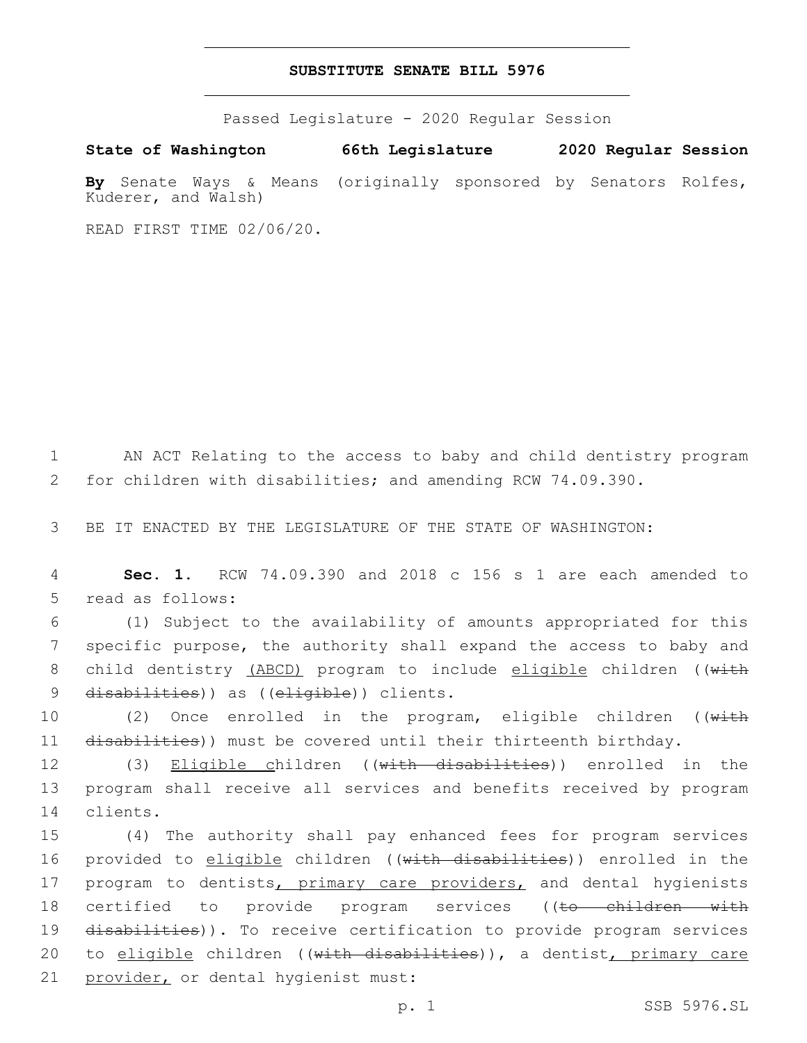## **SUBSTITUTE SENATE BILL 5976**

Passed Legislature - 2020 Regular Session

**State of Washington 66th Legislature 2020 Regular Session By** Senate Ways & Means (originally sponsored by Senators Rolfes, Kuderer, and Walsh)

READ FIRST TIME 02/06/20.

1 AN ACT Relating to the access to baby and child dentistry program 2 for children with disabilities; and amending RCW 74.09.390.

3 BE IT ENACTED BY THE LEGISLATURE OF THE STATE OF WASHINGTON:

4 **Sec. 1.** RCW 74.09.390 and 2018 c 156 s 1 are each amended to 5 read as follows:

6 (1) Subject to the availability of amounts appropriated for this 7 specific purpose, the authority shall expand the access to baby and 8 child dentistry (ABCD) program to include eligible children ((with 9 disabilities)) as ((eligible)) clients.

10 (2) Once enrolled in the program, eligible children ((with 11 disabilities)) must be covered until their thirteenth birthday.

12 (3) Eligible children ((with disabilities)) enrolled in the 13 program shall receive all services and benefits received by program 14 clients.

15 (4) The authority shall pay enhanced fees for program services 16 provided to eligible children ((with disabilities)) enrolled in the 17 program to dentists, primary care providers, and dental hygienists 18 certified to provide program services ((to children with 19 disabilities)). To receive certification to provide program services 20 to eligible children ((with disabilities)), a dentist, primary care 21 provider, or dental hygienist must: